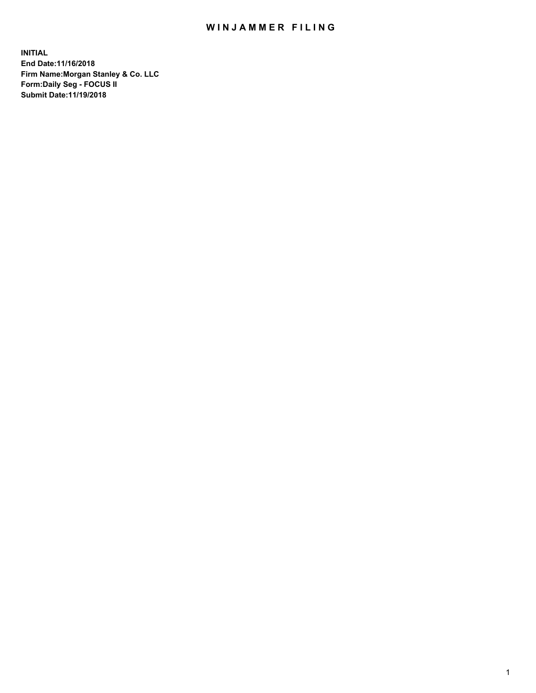## WIN JAMMER FILING

**INITIAL End Date:11/16/2018 Firm Name:Morgan Stanley & Co. LLC Form:Daily Seg - FOCUS II Submit Date:11/19/2018**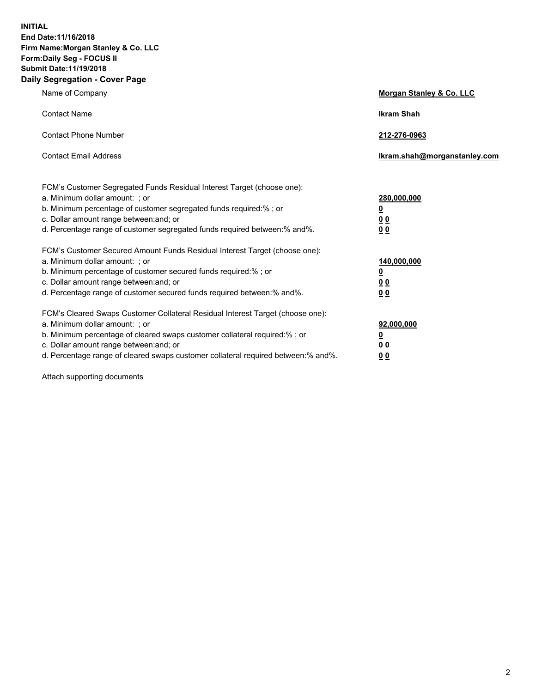**INITIAL End Date:11/16/2018 Firm Name:Morgan Stanley & Co. LLC Form:Daily Seg - FOCUS II Submit Date:11/19/2018 Daily Segregation - Cover Page**

| Name of Company                                                                                                                                                                                                                                                                                                                | Morgan Stanley & Co. LLC                               |
|--------------------------------------------------------------------------------------------------------------------------------------------------------------------------------------------------------------------------------------------------------------------------------------------------------------------------------|--------------------------------------------------------|
| <b>Contact Name</b>                                                                                                                                                                                                                                                                                                            | <b>Ikram Shah</b>                                      |
| <b>Contact Phone Number</b>                                                                                                                                                                                                                                                                                                    | 212-276-0963                                           |
| <b>Contact Email Address</b>                                                                                                                                                                                                                                                                                                   | Ikram.shah@morganstanley.com                           |
| FCM's Customer Segregated Funds Residual Interest Target (choose one):<br>a. Minimum dollar amount: ; or<br>b. Minimum percentage of customer segregated funds required:% ; or<br>c. Dollar amount range between: and; or<br>d. Percentage range of customer segregated funds required between:% and%.                         | 280,000,000<br><u>0</u><br>00<br>00                    |
| FCM's Customer Secured Amount Funds Residual Interest Target (choose one):<br>a. Minimum dollar amount: ; or<br>b. Minimum percentage of customer secured funds required:% ; or<br>c. Dollar amount range between: and; or<br>d. Percentage range of customer secured funds required between: % and %.                         | 140,000,000<br><u>0</u><br><u>00</u><br>0 <sub>0</sub> |
| FCM's Cleared Swaps Customer Collateral Residual Interest Target (choose one):<br>a. Minimum dollar amount: ; or<br>b. Minimum percentage of cleared swaps customer collateral required:% ; or<br>c. Dollar amount range between: and; or<br>d. Percentage range of cleared swaps customer collateral required between:% and%. | 92,000,000<br><u>0</u><br>0 Q<br>00                    |

Attach supporting documents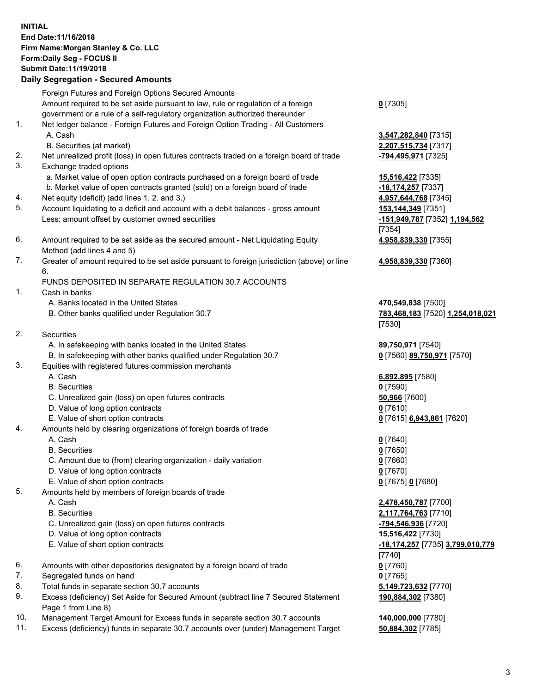## **INITIAL End Date:11/16/2018 Firm Name:Morgan Stanley & Co. LLC Form:Daily Seg - FOCUS II Submit Date:11/19/2018**

## **Daily Segregation - Secured Amounts**

Foreign Futures and Foreign Options Secured Amounts Amount required to be set aside pursuant to law, rule or regulation of a foreign government or a rule of a self-regulatory organization authorized thereunder 1. Net ledger balance - Foreign Futures and Foreign Option Trading - All Customers A. Cash **3,547,282,840** [7315] B. Securities (at market) **2,207,515,734** [7317] 2. Net unrealized profit (loss) in open futures contracts traded on a foreign board of trade **-794,495,971** [7325] 3. Exchange traded options a. Market value of open option contracts purchased on a foreign board of trade **15,516,422** [7335] b. Market value of open contracts granted (sold) on a foreign board of trade **-18,174,257** [7337] 4. Net equity (deficit) (add lines 1. 2. and 3.) **4,957,644,768** [7345] 5. Account liquidating to a deficit and account with a debit balances - gross amount **153,144,349** [7351] Less: amount offset by customer owned securities **-151,949,787** [7352] **1,194,562** 6. Amount required to be set aside as the secured amount - Net Liquidating Equity Method (add lines 4 and 5) 7. Greater of amount required to be set aside pursuant to foreign jurisdiction (above) or line 6. FUNDS DEPOSITED IN SEPARATE REGULATION 30.7 ACCOUNTS 1. Cash in banks A. Banks located in the United States **470,549,838** [7500] B. Other banks qualified under Regulation 30.7 **783,468,183** [7520] **1,254,018,021** 2. Securities A. In safekeeping with banks located in the United States **89,750,971** [7540] B. In safekeeping with other banks qualified under Regulation 30.7 **0** [7560] **89,750,971** [7570]

- 3. Equities with registered futures commission merchants
	-
	- B. Securities **0** [7590]
	- C. Unrealized gain (loss) on open futures contracts **50,966** [7600]
	- D. Value of long option contracts **0** [7610]
- E. Value of short option contracts **0** [7615] **6,943,861** [7620]
- 4. Amounts held by clearing organizations of foreign boards of trade
	- A. Cash **0** [7640]
	- B. Securities **0** [7650]
	- C. Amount due to (from) clearing organization daily variation **0** [7660]
	- D. Value of long option contracts **0** [7670]
	- E. Value of short option contracts **0** [7675] **0** [7680]
- 5. Amounts held by members of foreign boards of trade
	-
	-
	- C. Unrealized gain (loss) on open futures contracts **-794,546,936** [7720]
	- D. Value of long option contracts **15,516,422** [7730]
	- E. Value of short option contracts **-18,174,257** [7735] **3,799,010,779**
- 6. Amounts with other depositories designated by a foreign board of trade **0** [7760]
- 7. Segregated funds on hand **0** [7765]
- 8. Total funds in separate section 30.7 accounts **5,149,723,632** [7770]
- 9. Excess (deficiency) Set Aside for Secured Amount (subtract line 7 Secured Statement Page 1 from Line 8)
- 10. Management Target Amount for Excess funds in separate section 30.7 accounts **140,000,000** [7780]
- 11. Excess (deficiency) funds in separate 30.7 accounts over (under) Management Target **50,884,302** [7785]

**0** [7305]

[7354] **4,958,839,330** [7355]

**4,958,839,330** [7360]

[7530]

A. Cash **6,892,895** [7580]

 A. Cash **2,478,450,787** [7700] B. Securities **2,117,764,763** [7710] [7740] **190,884,302** [7380]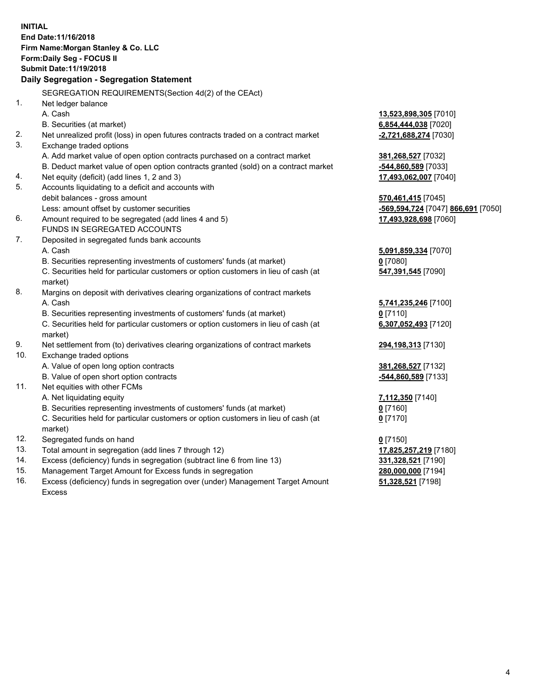|     | <b>INITIAL</b><br>End Date: 11/16/2018<br>Firm Name: Morgan Stanley & Co. LLC<br>Form: Daily Seg - FOCUS II<br>Submit Date: 11/19/2018<br>Daily Segregation - Segregation Statement |                                               |
|-----|-------------------------------------------------------------------------------------------------------------------------------------------------------------------------------------|-----------------------------------------------|
|     |                                                                                                                                                                                     |                                               |
| 1.  | SEGREGATION REQUIREMENTS(Section 4d(2) of the CEAct)                                                                                                                                |                                               |
|     | Net ledger balance<br>A. Cash                                                                                                                                                       |                                               |
|     |                                                                                                                                                                                     | 13,523,898,305 [7010]<br>6,854,444,038 [7020] |
| 2.  | B. Securities (at market)<br>Net unrealized profit (loss) in open futures contracts traded on a contract market                                                                     | -2,721,688,274 [7030]                         |
| 3.  | Exchange traded options                                                                                                                                                             |                                               |
|     | A. Add market value of open option contracts purchased on a contract market                                                                                                         | 381,268,527 [7032]                            |
|     | B. Deduct market value of open option contracts granted (sold) on a contract market                                                                                                 | -544,860,589 [7033]                           |
| 4.  | Net equity (deficit) (add lines 1, 2 and 3)                                                                                                                                         | 17,493,062,007 [7040]                         |
| 5.  | Accounts liquidating to a deficit and accounts with                                                                                                                                 |                                               |
|     | debit balances - gross amount                                                                                                                                                       | 570,461,415 [7045]                            |
|     | Less: amount offset by customer securities                                                                                                                                          | -569,594,724 [7047] 866,691 [7050]            |
| 6.  | Amount required to be segregated (add lines 4 and 5)                                                                                                                                | 17,493,928,698 [7060]                         |
|     | FUNDS IN SEGREGATED ACCOUNTS                                                                                                                                                        |                                               |
| 7.  | Deposited in segregated funds bank accounts                                                                                                                                         |                                               |
|     | A. Cash                                                                                                                                                                             | 5,091,859,334 [7070]                          |
|     | B. Securities representing investments of customers' funds (at market)                                                                                                              | $0$ [7080]                                    |
|     | C. Securities held for particular customers or option customers in lieu of cash (at                                                                                                 | 547,391,545 [7090]                            |
|     | market)                                                                                                                                                                             |                                               |
| 8.  | Margins on deposit with derivatives clearing organizations of contract markets                                                                                                      |                                               |
|     | A. Cash                                                                                                                                                                             | 5,741,235,246 [7100]                          |
|     | B. Securities representing investments of customers' funds (at market)                                                                                                              | $0$ [7110]                                    |
|     | C. Securities held for particular customers or option customers in lieu of cash (at<br>market)                                                                                      | 6,307,052,493 [7120]                          |
| 9.  | Net settlement from (to) derivatives clearing organizations of contract markets                                                                                                     | 294,198,313 [7130]                            |
| 10. | Exchange traded options                                                                                                                                                             |                                               |
|     | A. Value of open long option contracts                                                                                                                                              | 381,268,527 [7132]                            |
|     | B. Value of open short option contracts                                                                                                                                             | -544,860,589 [7133]                           |
| 11. | Net equities with other FCMs                                                                                                                                                        |                                               |
|     | A. Net liquidating equity                                                                                                                                                           | 7,112,350 [7140]                              |
|     | B. Securities representing investments of customers' funds (at market)                                                                                                              | <u>0</u> [7160]                               |
|     | C. Securities held for particular customers or option customers in lieu of cash (at<br>market)                                                                                      | 0 <sup>[7170]</sup>                           |
| 12. | Segregated funds on hand                                                                                                                                                            | $0$ [7150]                                    |
| 13. | Total amount in segregation (add lines 7 through 12)                                                                                                                                | 17,825,257,219 [7180]                         |
| 14. | Excess (deficiency) funds in segregation (subtract line 6 from line 13)                                                                                                             | 331,328,521 [7190]                            |
| 15. | Management Target Amount for Excess funds in segregation                                                                                                                            | 280,000,000 [7194]                            |
| 16. | Excess (deficiency) funds in segregation over (under) Management Target Amount                                                                                                      | 51,328,521 [7198]                             |

16. Excess (deficiency) funds in segregation over (under) Management Target Amount Excess